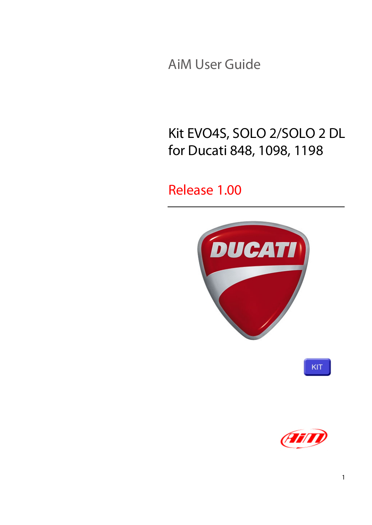AiM User Guide

## Kit EVO4S, SOLO 2/SOLO 2 DL for Ducati 848, 1098, 1198

#### Release 1.00





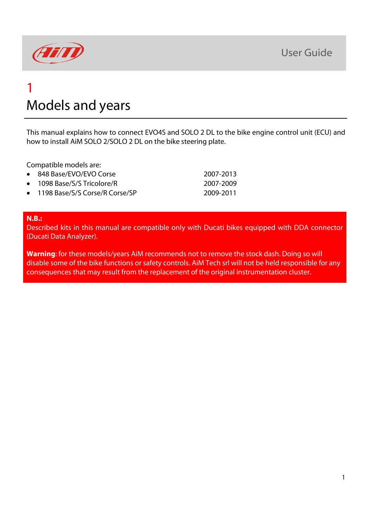

## 1 Models and years

This manual explains how to connect EVO4S and SOLO 2 DL to the bike engine control unit (ECU) and how to install AiM SOLO 2/SOLO 2 DL on the bike steering plate.

Compatible models are:

| • 848 Base/EVO/EVO Corse         | 2007-2013 |
|----------------------------------|-----------|
| • 1098 Base/S/S Tricolore/R      | 2007-2009 |
| • 1198 Base/S/S Corse/R Corse/SP | 2009-2011 |

#### **N.B.:**

Described kits in this manual are compatible only with Ducati bikes equipped with DDA connector (Ducati Data Analyzer).

**Warning**: for these models/years AiM recommends not to remove the stock dash. Doing so will disable some of the bike functions or safety controls. AiM Tech srl will not be held responsible for any consequences that may result from the replacement of the original instrumentation cluster.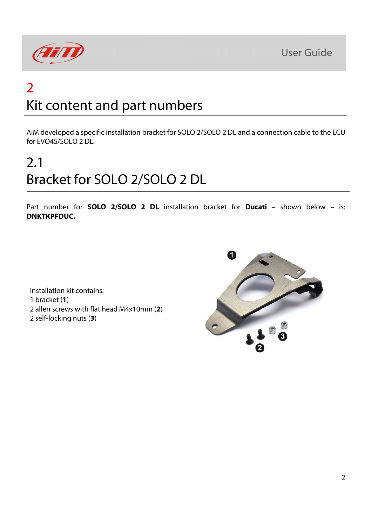



## 2 Kit content and part numbers

AiM developed a specific installation bracket for SOLO 2/SOLO 2 DL and a connection cable to the ECU for EVO4S/SOLO 2 DL.

# 2.1 Bracket for SOLO 2/SOLO 2 DL

Part number for **SOLO 2/SOLO 2 DL** installation bracket for **Ducati** – shown below – is: **DNKTKPFDUC.**

Installation kit contains: 1 bracket (**1**) 2 allen screws with flat head M4x10mm (**2**) 2 self-locking nuts (**3**)

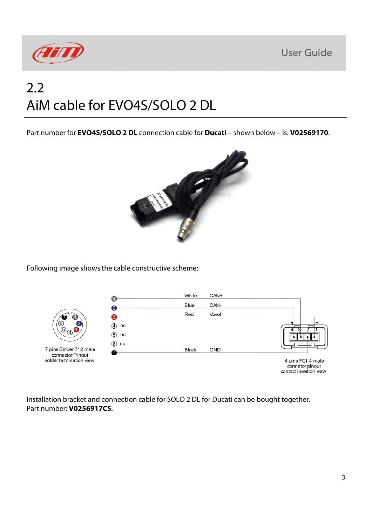**User Guide** 



## 2.2 AiM cable for EVO4S/SOLO 2 DL

Part number for **EVO4S/SOLO 2 DL** connection cable for **Ducati** – shown below – is: **V02569170**.



Following image shows the cable constructive scheme:



Installation bracket and connection cable for SOLO 2 DL for Ducati can be bought together. Part number: **V0256917CS**.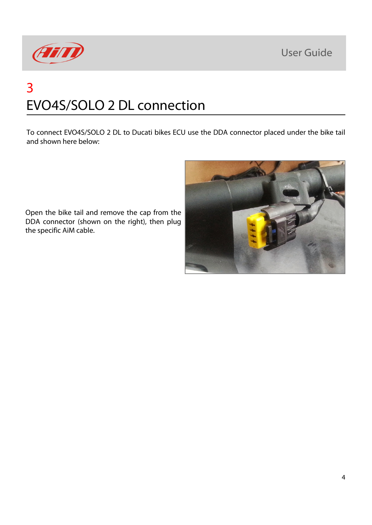**User Guide** 



## 3 EVO4S/SOLO 2 DL connection

To connect EVO4S/SOLO 2 DL to Ducati bikes ECU use the DDA connector placed under the bike tail and shown here below:

Open the bike tail and remove the cap from the DDA connector (shown on the right), then plug the specific AiM cable.

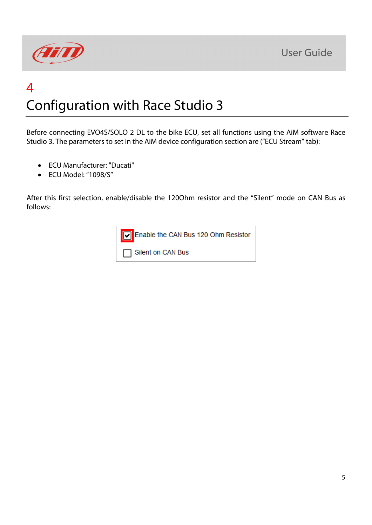



## 4 Configuration with Race Studio 3

Before connecting EVO4S/SOLO 2 DL to the bike ECU, set all functions using the AiM software Race Studio 3. The parameters to set in the AiM device configuration section are ("ECU Stream" tab):

- ECU Manufacturer: "Ducati"
- ECU Model: "1098/S"

After this first selection, enable/disable the 120Ohm resistor and the "Silent" mode on CAN Bus as follows: